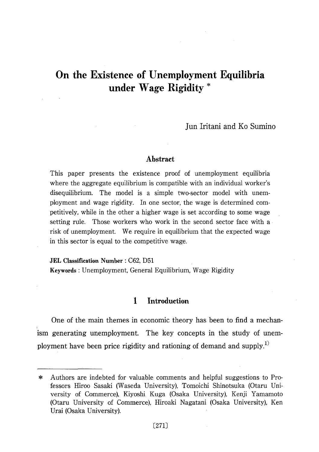Jun Iritani and Ko Sumino

## Abstract

This paper presents the existence proof of unemployment equilibria where the aggregate equilibrium is compatible with an individual worker's disequilibrium. The model is a simple two-sector model with unemployment and wage rigidity. In one sector, the wage is determined competitively, while in the other a higher wage is set according to some wage setting rule. Those workers who work in the second sector face with a risk of unemployment. We require in equilibrium that the expected wage in this sector is equal to the competitive wage.

**JEL Classification Number: C62. D51** 

Keywords: Unemployment, General Equilibrium, Wage Rigidity

### 1 Introduction

One of the main themes in economic theory has been to find a mechanism generating unemployment. The key concepts in the study of unemployment have been price rigidity and rationing of demand and supply.<sup>1)</sup>

Authors are indebted for valuable comments and helpful suggestions to Pro- $\ast$ fessors Hiroo Sasaki (Waseda University), Tomoichi Shinotsuka (Otaru University of Commerce), Kiyoshi Kuga (Osaka University), Kenji Yamamoto (Otaru University of Commerce), Hiroaki Nagatani (Osaka University), Ken Urai (Osaka University).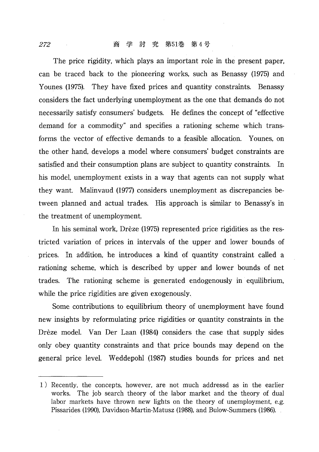The price rigidity, which plays an important role in the present paper. can be traced back to the pioneering works, such as Benassy (1975) and Younes (1975). They have fixed prices and quantity constraints. Benassy considers the fact underlying unemployment as the one that demands do not necessarily satisfy consumers' budgets. He defines the concept of "effective" demand for a commodity" and specifies a rationing scheme which transforms the vector of effective demands to a feasible allocation. Younes, on the other hand, develops a model where consumers' budget constraints are satisfied and their consumption plans are subject to quantity constraints. In his model, unemployment exists in a way that agents can not supply what they want. Malinyaud (1977) considers unemployment as discrepancies between planned and actual trades. His approach is similar to Benassy's in the treatment of unemployment.

In his seminal work, Drèze (1975) represented price rigidities as the restricted variation of prices in intervals of the upper and lower bounds of prices. In addition, he introduces a kind of quantity constraint called a rationing scheme, which is described by upper and lower bounds of net trades. The rationing scheme is generated endogenously in equilibrium, while the price rigidities are given exogenously.

Some contributions to equilibrium theory of unemployment have found new insights by reformulating price rigidities or quantity constraints in the Drèze model. Van Der Laan (1984) considers the case that supply sides only obey quantity constraints and that price bounds may depend on the general price level. Weddepohl (1987) studies bounds for prices and net

<sup>1)</sup> Recently, the concepts, however, are not much addressd as in the earlier works. The job search theory of the labor market and the theory of dual labor markets have thrown new lights on the theory of unemployment, e.g. Pissarides (1990), Davidson-Martin-Matusz (1988), and Bulow-Summers (1986).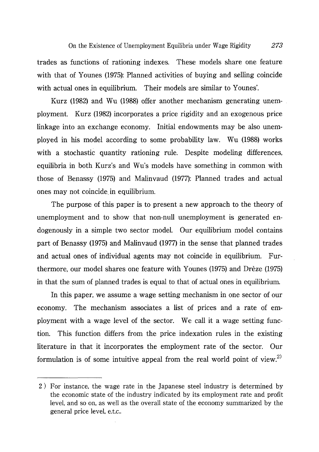trades as functions of rationing indexes. These models share one feature with that of Younes (1975): Planned activities of buying and selling coincide with actual ones in equilibrium. Their models are similar to Younes'.

Kurz (1982) and Wu (1988) offer another mechanism generating unemployment. Kurz (1982) incorporates a price rigidity and an exogenous price linkage into an exchange economy. Initial endowments may be also unemployed in his model according to some probability law. Wu (1988) works with a stochastic quantity rationing rule. Despite modeling differences, equilibria in both Kurz's and Wu's models have something in common with those of Benassy (1975) and Malinyaud (1977): Planned trades and actual ones may not coincide in equilibrium.

The purpose of this paper is to present a new approach to the theory of unemployment and to show that non-null unemployment is generated endogenously in a simple two sector model. Our equilibrium model contains part of Benassy (1975) and Malinvaud (1977) in the sense that planned trades and actual ones of individual agents may not coincide in equilibrium. Furthermore, our model shares one feature with Younes (1975) and Drèze (1975) in that the sum of planned trades is equal to that of actual ones in equilibrium.

In this paper, we assume a wage setting mechanism in one sector of our economy. The mechanism associates a list of prices and a rate of employment with a wage level of the sector. We call it a wage setting function. This function differs from the price indexation rules in the existing literature in that it incorporates the employment rate of the sector. Our formulation is of some intuitive appeal from the real world point of view.<sup>2)</sup>

<sup>2)</sup> For instance, the wage rate in the Japanese steel industry is determined by the economic state of the industry indicated by its employment rate and profit level, and so on, as well as the overall state of the economy summarized by the general price level, e.t.c..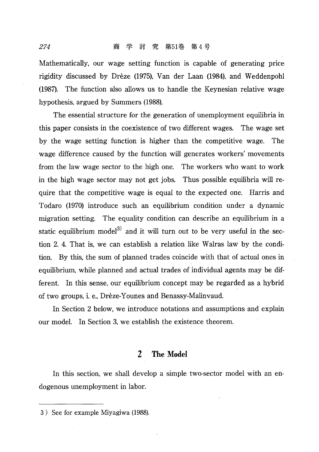Mathematically, our wage setting function is capable of generating price rigidity discussed by Drèze (1975), Van der Laan (1984), and Weddenpohl (1987). The function also allows us to handle the Keynesian relative wage hypothesis, argued by Summers (1988).

The essential structure for the generation of unemployment equilibria in this paper consists in the coexistence of two different wages. The wage set by the wage setting function is higher than the competitive wage. The wage difference caused by the function will generates workers' movements from the law wage sector to the high one. The workers who want to work in the high wage sector may not get jobs. Thus possible equilibria will require that the competitive wage is equal to the expected one. Harris and Todaro (1970) introduce such an equilibrium condition under a dynamic migration setting. The equality condition can describe an equilibrium in a static equilibrium model<sup>3)</sup> and it will turn out to be very useful in the section 2.4. That is, we can establish a relation like Walras law by the condition. By this, the sum of planned trades coincide with that of actual ones in equilibrium, while planned and actual trades of individual agents may be different. In this sense, our equilibrium concept may be regarded as a hybrid of two groups, i. e., Drèze-Younes and Benassy-Malinvaud.

In Section 2 below, we introduce notations and assumptions and explain our model. In Section 3, we establish the existence theorem.

# 2 The Model

In this section, we shall develop a simple two-sector model with an endogenous unemployment in labor.

<sup>3)</sup> See for example Miyagiwa (1988).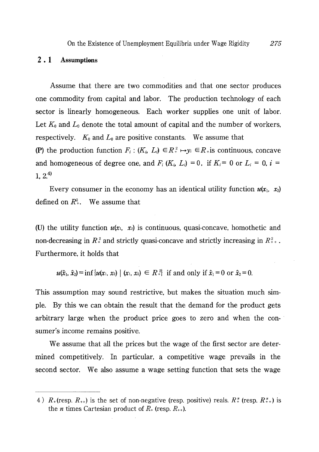### $2.1$ **Assumptions**

Assume that there are two commodities and that one sector produces one commodity from capital and labor. The production technology of each sector is linearly homogeneous. Each worker supplies one unit of labor. Let  $K_0$  and  $L_0$  denote the total amount of capital and the number of workers, respectively.  $K_0$  and  $L_0$  are positive constants. We assume that (P) the production function  $F_i$ :  $(K_i, L_i) \in R^2 \rightarrow y_i \in R$  is continuous, concave and homogeneous of degree one, and  $F_i(K_i, L_i) = 0$ , if  $K_i = 0$  or  $L_i = 0$ ,  $i =$  $1, 2<sup>4</sup>$ 

Every consumer in the economy has an identical utility function  $u(x_1, x_2)$ defined on  $R^2$ . We assume that

(U) the utility function  $u(x_1, x_2)$  is continuous, quasi-concave, homothetic and non-decreasing in  $R^2$  and strictly quasi-concave and strictly increasing in  $R^2_{++}$ . Furthermore, it holds that

 $u(\hat{x}_1, \hat{x}_2) = \inf \{u(x_1, x_2) \mid (x_1, x_2) \in R^2\}$  if and only if  $\hat{x}_1 = 0$  or  $\hat{x}_2 = 0$ .

This assumption may sound restrictive, but makes the situation much simple. By this we can obtain the result that the demand for the product gets arbitrary large when the product price goes to zero and when the consumer's income remains positive.

We assume that all the prices but the wage of the first sector are determined competitively. In particular, a competitive wage prevails in the second sector. We also assume a wage setting function that sets the wage

<sup>4)</sup>  $R_+$  (resp.  $R_{++}$ ) is the set of non-negative (resp. positive) reals.  $R_+^n$  (resp.  $R_{++}^n$ ) is the *n* times Cartesian product of  $R_{+}$  (resp.  $R_{++}$ ).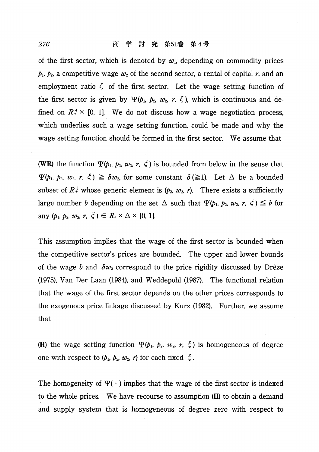of the first sector, which is denoted by  $w_1$ , depending on commodity prices  $p_1$ ,  $p_2$ , a competitive wage  $w_2$  of the second sector, a rental of capital r, and an employment ratio  $\xi$  of the first sector. Let the wage setting function of the first sector is given by  $\Psi(\phi_1, \phi_2, w_2, r, \zeta)$ , which is continuous and defined on  $R^4$  × [0, 1]. We do not discuss how a wage negotiation process, which underlies such a wage setting function, could be made and why the wage setting function should be formed in the first sector. We assume that

(WR) the function  $\Psi(\phi_1, \phi_2, w_2, r, \xi)$  is bounded from below in the sense that  $\Psi(\phi_1, \phi_2, w_2, r, \xi) \ge \delta w_2$ , for some constant  $\delta(\ge 1)$ . Let  $\Delta$  be a bounded subset of  $R^3$  whose generic element is  $(p_2, w_2, r)$ . There exists a sufficiently large number *b* depending on the set  $\Delta$  such that  $\Psi(\mathbf{p}_1, \mathbf{p}_2, w_2, r, \xi) \leq b$  for any  $(p_1, p_2, w_2, r, \xi) \in R_* \times \Delta \times [0, 1].$ 

This assumption implies that the wage of the first sector is bounded when the competitive sector's prices are bounded. The upper and lower bounds of the wage b and  $\delta w_2$  correspond to the price rigidity discussed by Drèze (1975), Van Der Laan (1984), and Weddepohl (1987). The functional relation that the wage of the first sector depends on the other prices corresponds to the exogenous price linkage discussed by Kurz (1982). Further, we assume that

(H) the wage setting function  $\Psi(\phi_1, \phi_2, w_2, r, \xi)$  is homogeneous of degree one with respect to  $(p_1, p_2, w_2, r)$  for each fixed  $\xi$ .

The homogeneity of  $\Psi(\cdot)$  implies that the wage of the first sector is indexed to the whole prices. We have recourse to assumption (H) to obtain a demand and supply system that is homogeneous of degree zero with respect to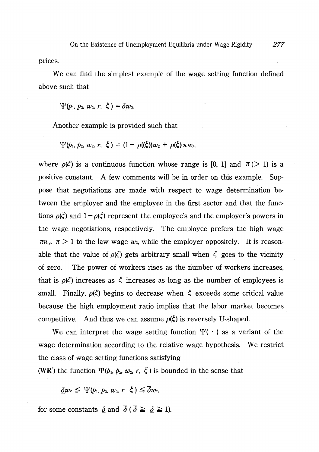277

prices.

We can find the simplest example of the wage setting function defined above such that

 $\Psi(b_1, b_2, w_2, r, \xi) = \delta w_2$ 

Another example is provided such that

$$
\Psi(\rho_1, \, \rho_2, \, w_2, \, r, \, \zeta) = (1 - \rho((\zeta))w_2 + \rho(\zeta)\,\pi w_2,
$$

where  $\rho(\xi)$  is a continuous function whose range is [0, 1] and  $\pi$  (> 1) is a positive constant. A few comments will be in order on this example. Suppose that negotiations are made with respect to wage determination between the employer and the employee in the first sector and that the functions  $\rho(\xi)$  and  $1 - \rho(\xi)$  represent the employee's and the employer's powers in the wage negotiations, respectively. The employee prefers the high wage  $\pi w_2$ ,  $\pi > 1$  to the law wage  $w_2$ , while the employer oppositely. It is reasonable that the value of  $\rho(\xi)$  gets arbitrary small when  $\xi$  goes to the vicinity The power of workers rises as the number of workers increases, of zero. that is  $\rho(\xi)$  increases as  $\xi$  increases as long as the number of employees is small. Finally,  $\rho(\xi)$  begins to decrease when  $\xi$  exceeds some critical value because the high employment ratio implies that the labor market becomes competitive. And thus we can assume  $\rho(\xi)$  is reversely U-shaped.

We can interpret the wage setting function  $\Psi(\cdot)$  as a variant of the wage determination according to the relative wage hypothesis. We restrict the class of wage setting functions satisfying

(WR') the function  $\Psi(p_1, p_2, w_2, r, \zeta)$  is bounded in the sense that

 $\delta w_2 \leq \Psi(b_1, b_2, w_2, r, \xi) \leq \overline{\delta} w_2$ 

for some constants  $\delta$  and  $\bar{\delta}$  ( $\bar{\delta} \geq \delta \geq 1$ ).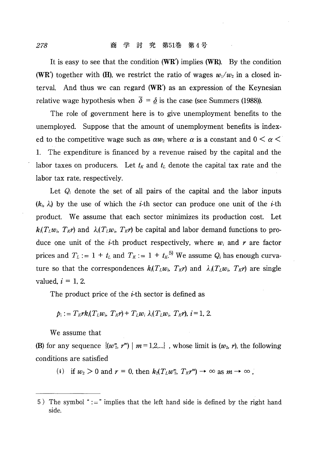It is easy to see that the condition  $(WR')$  implies  $(WR)$ . By the condition (WR) together with (H), we restrict the ratio of wages  $w_1/w_2$  in a closed interval. And thus we can regard  $(WR')$  as an expression of the Keynesian relative wage hypothesis when  $\overline{\delta} = \delta$  is the case (see Summers (1988)).

The role of government here is to give unemployment benefits to the unemployed. Suppose that the amount of unemployment benefits is indexed to the competitive wage such as  $\alpha w_2$  where  $\alpha$  is a constant and  $0 \le \alpha \le$ The expenditure is financed by a revenue raised by the capital and the 1. labor taxes on producers. Let  $t_K$  and  $t_L$  denote the capital tax rate and the labor tax rate, respectively.

Let  $Q_i$  denote the set of all pairs of the capital and the labor inputs  $(k_i, \lambda)$  by the use of which the *i*-th sector can produce one unit of the *i*-th product. We assume that each sector minimizes its production cost. Let  $k(T_{\ell}w_i, T_{\ell}y_i)$  and  $\lambda(T_{\ell}w_i, T_{\ell}y_i)$  be capital and labor demand functions to produce one unit of the *i*-th product respectively, where  $w_i$  and r are factor prices and  $T_L := 1 + t_L$  and  $T_K := 1 + t_K$ <sup>5)</sup> We assume  $Q_i$  has enough curvature so that the correspondences  $k_i(T_Lw_i, T_Kr)$  and  $\lambda_i(T_Lw_i, T_Kr)$  are single valued,  $i = 1, 2$ .

The product price of the *i*-th sector is defined as

$$
p_i := T_K r k_i (T_L w_i, T_K r) + T_L w_i \lambda_i (T_L w_i, T_K r), i = 1, 2.
$$

We assume that

(B) for any sequence  $\{(w_2^m, r^m) \mid m = 1,2,...\}$ , whose limit is  $(w_2, r)$ , the following conditions are satisfied

(i) if  $w_2 > 0$  and  $r = 0$ , then  $k_2(T_L w_2^m, T_K r^m) \rightarrow \infty$  as  $m \rightarrow \infty$ ,

<sup>5)</sup> The symbol " $:=$ " implies that the left hand side is defined by the right hand side.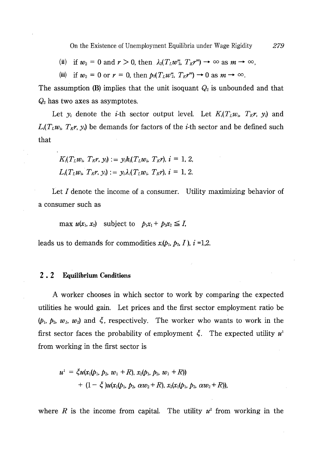(ii) if  $w_2 = 0$  and  $r > 0$ , then  $\lambda_2(T_L w_2^m, T_K w_1^m) \to \infty$  as  $m \to \infty$ ,

(iii) if  $w_2 = 0$  or  $r = 0$ , then  $p_2(T_L w_2^m, T_K r^m) \rightarrow 0$  as  $m \rightarrow \infty$ .

The assumption (B) implies that the unit isoquant  $Q_2$  is unbounded and that  $Q_2$  has two axes as asymptotes.

Let  $y_i$  denote the *i*-th sector output level. Let  $K_i(T_L w_i, T_K r, y_i)$  and  $L(T_{\mu}w_i, T_{\kappa}r, y_i)$  be demands for factors of the *i*-th sector and be defined such that

$$
K_i(T_L w_i, T_K r, y_i) := y_i k_i(T_L w_i, T_K r), i = 1, 2,
$$
  

$$
L_i(T_L w_i, T_K r, y_i) := y_i \lambda_i(T_L w_i, T_K r), i = 1, 2.
$$

Let  $I$  denote the income of a consumer. Utility maximizing behavior of a consumer such as

max  $u(x_1, x_2)$  subject to  $p_1x_1 + p_2x_2 \leq I$ ,

leads us to demands for commodities  $x_i(p_1, p_2, I)$ ,  $i = 1,2$ .

#### $2.2$ **Equilibrium Conditions**

A worker chooses in which sector to work by comparing the expected utilities he would gain. Let prices and the first sector employment ratio be  $(\phi_1, \phi_2, w_1, w_2)$  and  $\xi$ , respectively. The worker who wants to work in the first sector faces the probability of employment  $\xi$ . The expected utility  $u^1$ from working in the first sector is

$$
u^1 = \xi u(x_1(p_1, p_2, w_1 + R), x_2(p_1, p_2, w_1 + R))
$$
  
+ 
$$
(1 - \xi)u(x_1(p_1, p_2, \alpha w_2 + R), x_2(x_1(p_1, p_2, \alpha w_2 + R)),
$$

where R is the income from capital. The utility  $u^2$  from working in the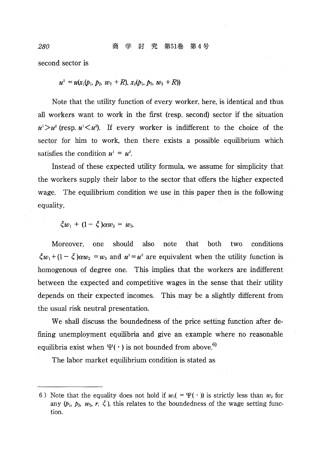second sector is

 $u^2 = u(x_1(b_1, b_2, w_2 + R), x_2(b_1, b_2, w_2 + R))$ 

Note that the utility function of every worker, here, is identical and thus all workers want to work in the first (resp. second) sector if the situation  $u^3 > u^2$  (resp.  $u^3 < u^2$ ). If every worker is indifferent to the choice of the sector for him to work, then there exists a possible equilibrium which satisfies the condition  $u^1 = u^2$ .

Instead of these expected utility formula, we assume for simplicity that the workers supply their labor to the sector that offers the higher expected wage. The equilibrium condition we use in this paper then is the following equality,

 $\zeta w_1 + (1 - \zeta) \alpha w_2 = w_2$ 

should conditions Moreover. one also note that both two  $\xi w_1 + (1 - \xi) \alpha w_2 = w_2$  and  $u^1 = u^2$  are equivalent when the utility function is homogenous of degree one. This implies that the workers are indifferent between the expected and competitive wages in the sense that their utility depends on their expected incomes. This may be a slightly different from the usual risk neutral presentation.

We shall discuss the boundedness of the price setting function after defining unemployment equilibria and give an example where no reasonable equilibria exist when  $\Psi(\cdot)$  is not bounded from above.<sup>6)</sup>

The labor market equilibrium condition is stated as

280

<sup>6)</sup> Note that the equality does not hold if  $w_1( = \Psi(\cdot))$  is strictly less than  $w_2$  for any  $(\mathfrak{p}_1, \mathfrak{p}_2, w_2, r, \zeta)$ , this relates to the boundedness of the wage setting function.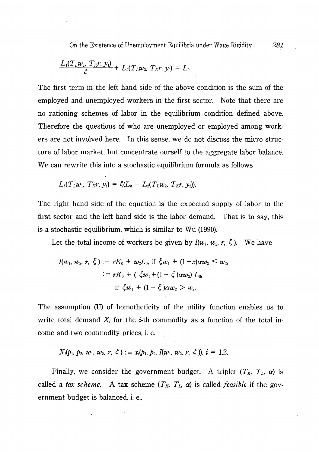$$
\frac{L_1(T_L w_1, T_K r, y_1)}{\xi} + L_2(T_L w_2, T_K r, y_2) = L_0.
$$

The first term in the left hand side of the above condition is the sum of the employed and unemployed workers in the first sector. Note that there are no rationing schemes of labor in the equilibrium condition defined above. Therefore the questions of who are unemployed or employed among workers are not involved here. In this sense, we do not discuss the micro structure of labor market, but concentrate ourself to the aggregate labor balance. We can rewrite this into a stochastic equilibrium formula as follows

$$
L_1(T_L w_1, T_K r, y_1) = \xi(L_0 - L_2(T_L w_2, T_K r, y_2)).
$$

The right hand side of the equation is the expected supply of labor to the first sector and the left hand side is the labor demand. That is to say, this is a stochastic equilibrium, which is similar to Wu (1990).

Let the total income of workers be given by  $I(w_1, w_2, r, \xi)$ . We have

$$
I(w_1, w_2, r, \xi) := rK_0 + w_2L_0, \text{ if } \xi w_1 + (1 - x)\alpha w_2 \leq w_2, \\ := rK_0 + (\xi w_1 + (1 - \xi)\alpha w_2) L_0, \\ \text{if } \xi w_1 + (1 - \xi)\alpha w_2 > w_2.
$$

The assumption (U) of homotheticity of the utility function enables us to write total demand  $X_i$  for the *i*-th commodity as a function of the total income and two commodity prices, i. e.

 $X_i(p_1, p_2, w_1, w_2, r, \xi) := x_i(p_1, p_2, I(w_1, w_2, r, \xi))$ ,  $i = 1.2$ .

Finally, we consider the government budget. A triplet  $(T_K, T_L, \alpha)$  is called a tax scheme. A tax scheme  $(T_K, T_L, \alpha)$  is called *feasible* if the government budget is balanced, i. e.,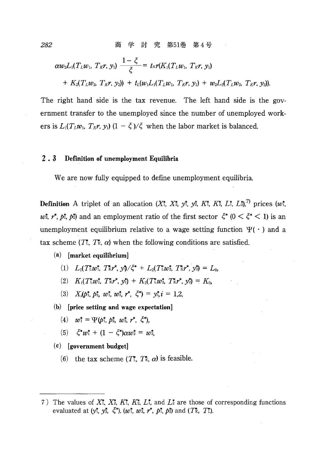$$
\alpha w_2 L_1(T_L w_1, T_K r, y_1) \frac{1-\xi}{\xi} = t_K r(K_1(T_L w_1, T_K r, y_1)
$$
  
+  $K_2(T_L w_2, T_K r, y_2) + t_L(w_1 L_1(T_L w_1, T_K r, y_1) + w_2 L_2(T_L w_2, T_K r, y_2)).$ 

The right hand side is the tax revenue. The left hand side is the government transfer to the unemployed since the number of unemployed workers is  $L_1(T_Lw_1, T_Kr, y_1)$   $(1 - \xi)/\xi$  when the labor market is balanced.

#### $2.3$ Definition of unemployment Equilibria

We are now fully equipped to define unemployment equilibria.

**Definition** A triplet of an allocation  $(X_1^*, X_2^*, y_1^*, y_2^*, K_1^*, K_2^*, L_1^*, L_2^*)$  prices  $(w_1^*, w_2^*, W_1^*, W_2^*, W_1^*, W_2^*, W_2^*, W_1^*, W_2^*, W_1^*, W_2^*, W_2^*, W_1^*, W_2^*, W_2^*, W_1^*, W_2^*, W_2^*, W_1^*, W_2^*, W_2^*, W_1^*, W_2^*, W_2^*, W_1^*, W_2^*,$  $w^*, r^*, p^*, p^*$  and an employment ratio of the first sector  $\xi^*$  ( $0 \leq \xi^* \leq 1$ ) is an unemployment equilibrium relative to a wage setting function  $\Psi(\cdot)$  and a tax scheme  $(T^*, T^*, \alpha)$  when the following conditions are satisfied.

### $(a)$  [market equilibrium]

- (1)  $L_1(T^*_{\alpha}w^*_{\alpha}, T^*_{\alpha}r^*_{\alpha}, y^*_{\beta}/\zeta^* + L_2(T^*_{\alpha}w^*_{\alpha}, T^*_{\alpha}r^*_{\alpha}, y^*_{\beta}) = L_0$
- (2)  $K_1(T^*w^*, T^*x^*, y^*) + K_2(T^*w^*, T^*x^*, y^*) = K_0$
- (3)  $X_i(p_1^*, p_2^*, w_1^*, w_2^*, r^*, \zeta^*) = y_i^* i = 1,2,$
- $(b)$  [price setting and wage expectation]
	- (4)  $w_1^* = \Psi(p_1^*, p_2^*, w_2^*, r^*, \xi^*),$
	- (5)  $\xi^* w_1^* + (1 \xi^*) \alpha w_2^* = w_2^*$
- $(c)$  [government budget]
	- (6) the tax scheme  $(T_L^*, T_K^*, \alpha)$  is feasible.

282

<sup>7)</sup> The values of  $X^*$ ,  $X^*$ ,  $K^*$ ,  $K^*$ ,  $L^*$ , and  $L^*$  are those of corresponding functions evaluated at  $(y_1^*, y_2^*, \zeta^*)$ ,  $(w_1^*, w_2^*, r^*, p_1^*, p_2^*)$  and  $(T_2^*, T_1^*)$ .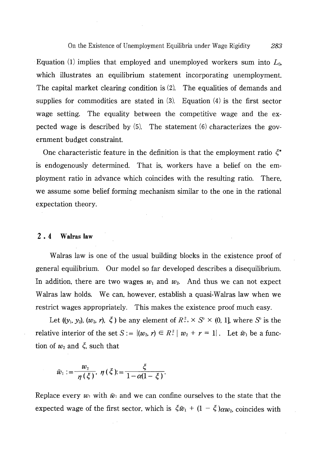Equation (1) implies that employed and unemployed workers sum into  $L_0$ , which illustrates an equilibrium statement incorporating unemployment. The capital market clearing condition is  $(2)$ . The equalities of demands and supplies for commodities are stated in  $(3)$ . Equation  $(4)$  is the first sector wage setting. The equality between the competitive wage and the expected wage is described by  $(5)$ . The statement  $(6)$  characterizes the government budget constraint.

One characteristic feature in the definition is that the employment ratio  $\zeta^*$ is endogenously determined. That is, workers have a belief on the employment ratio in advance which coincides with the resulting ratio. There, we assume some belief forming mechanism similar to the one in the rational expectation theory.

#### $2.4$ Walras law

Walras law is one of the usual building blocks in the existence proof of general equilibrium. Our model so far developed describes a disequilibrium. In addition, there are two wages  $w_1$  and  $w_2$ . And thus we can not expect Walras law holds. We can, however, establish a quasi-Walras law when we restrict wages appropriately. This makes the existence proof much easy.

Let  $((y_1, y_2), (w_2, r), \xi)$  be any element of  $R_{++}^2 \times S^0 \times (0, 1]$ , where S<sup>o</sup> is the relative interior of the set  $S := \{(w_2, r) \in R_+^2 | w_2 + r = 1 \}$ . Let  $\tilde{w}_1$  be a function of  $w_2$  and  $\zeta$ , such that

$$
\tilde{w}_1:=\frac{w_2}{\eta(\xi)}, \ \eta(\xi):=\frac{\xi}{1-\alpha(1-\xi)}.
$$

Replace every  $w_1$  with  $\tilde{w}_1$  and we can confine ourselves to the state that the expected wage of the first sector, which is  $\xi \tilde{w}_1 + (1 - \xi) \alpha w_2$ , coincides with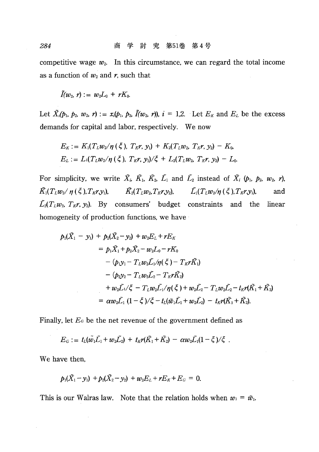competitive wage  $w_2$ . In this circumstance, we can regard the total income as a function of  $w_2$  and r, such that

 $ilde{I}(w_2, r) := w_2 L_0 + r K_0$ 

Let  $\tilde{X}_i(p_1, p_2, w_2, r) := x_i(p_1, p_2, \tilde{I}(w_2, r)), i = 1,2$ . Let  $E_K$  and  $E_L$  be the excess demands for capital and labor, respectively. We now

$$
E_K := K_1(T_L w_2/\eta(\xi), T_K r, y_1) + K_2(T_L w_2, T_K r, y_2) - K_0,
$$
  
\n
$$
E_L := L_1(T_L w_2/\eta(\xi), T_K r, y_1)/\xi + L_2(T_L w_2, T_K r, y_2) - L_0.
$$

For simplicity, we write  $\tilde{X}_i$ ,  $\tilde{K}_1$ ,  $\tilde{K}_2$ ,  $\tilde{L}_1$  and  $\tilde{L}_2$  instead of  $\tilde{X}_i$  ( $p_1$ ,  $p_2$ ,  $w_2$ ,  $r$ ),  $\tilde{K_1}(T_Lw_2/\eta(\xi),T_Kr_1y_1),$  $\tilde{K_2}(T_Lw_z,T_Kr_1y_2), \hspace{1cm} \tilde{L_1}(T_Lw_z/\eta(\xi),T_Kr_1y_1),$ and  $\tilde{L}_2(T_Lw_2, T_Kr, y_2)$ . By consumers' budget constraints and the linear homogeneity of production functions, we have

$$
p_1(\tilde{X}_1 - y_1) + p_2(\tilde{X}_2 - y_2) + w_2 E_L + r E_K
$$
  
\n
$$
= p_1 \tilde{X}_1 + p_2 \tilde{X}_2 - w_2 L_0 - r K_0
$$
  
\n
$$
- (p_1 y_1 - T_L w_2 \tilde{L}_1 / \eta(\xi) - T_K r \tilde{K}_1)
$$
  
\n
$$
- (p_2 y_2 - T_L w_2 \tilde{L}_2 - T_K r \tilde{K}_2)
$$
  
\n
$$
+ w_2 \tilde{L}_1 / \xi - T_L w_2 \tilde{L}_1 / \eta(\xi) + w_2 \tilde{L}_2 - T_L w_2 \tilde{L}_2 - t_K r (\tilde{K}_1 + \tilde{K}_2)
$$
  
\n
$$
= \alpha w_2 \tilde{L}_1 (1 - \xi) / \xi - t_L (\tilde{w}_1 \tilde{L}_1 + w_2 \tilde{L}_2) - t_K r (\tilde{K}_1 + \tilde{K}_2).
$$

Finally, let  $E<sub>G</sub>$  be the net revenue of the government defined as

$$
E_G := t_L(\tilde{w}_1\tilde{L}_1 + w_2\tilde{L}_2) + t_K r(\tilde{K}_1 + \tilde{K}_2) - \alpha w_2 \tilde{L}_1(1-\xi)/\xi.
$$

We have then.

$$
p_1(\tilde{X}_1-y_1)+p_2(\tilde{X}_2-y_2)+w_2E_L+rE_K+E_G=0.
$$

This is our Walras law. Note that the relation holds when  $w_1 = \tilde{w}_1$ .

284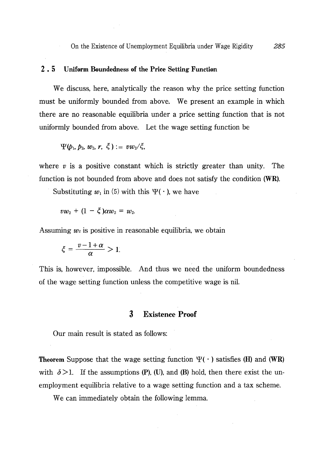### $2.5$ **Uniform Boundedness of the Price Setting Function**

We discuss, here, analytically the reason why the price setting function must be uniformly bounded from above. We present an example in which there are no reasonable equilibria under a price setting function that is not uniformly bounded from above. Let the wage setting function be

$$
\Psi(\mathbf{p}_1,\mathbf{p}_2,\mathbf{w}_2,\mathbf{r},\mathbf{\xi}) := v w_2/\xi,
$$

where  $v$  is a positive constant which is strictly greater than unity. The function is not bounded from above and does not satisfy the condition (WR).

Substituting  $w_1$  in (5) with this  $\Psi(\cdot)$ , we have

 $vw_2 + (1 - \xi)\alpha w_2 = w_2$ .

Assuming  $w_2$  is positive in reasonable equilibria, we obtain

$$
\xi = \frac{v - 1 + \alpha}{\alpha} > 1.
$$

This is, however, impossible. And thus we need the uniform boundedness of the wage setting function unless the competitive wage is nil.

### **Existence Proof** 3

Our main result is stated as follows:

**Theorem** Suppose that the wage setting function  $\Psi(\cdot)$  satisfies (H) and (WR) with  $\delta > 1$ . If the assumptions (P), (U), and (B) hold, then there exist the unemployment equilibria relative to a wage setting function and a tax scheme.

We can immediately obtain the following lemma.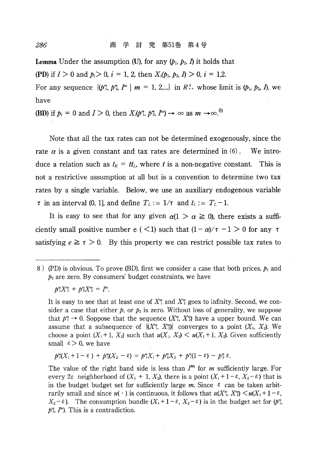**Lemma** Under the assumption (U), for any  $(p_1, p_2, I)$  it holds that (PD) if  $I > 0$  and  $p_i > 0$ ,  $i = 1, 2$ , then  $X_i(p_1, p_2, I) > 0$ ,  $i = 1, 2$ .

For any sequence  $\{(p_1^m, p_2^m, p_1^m | m = 1, 2,...) \text{ in } R_{++}^3 \text{ whose limit is } (p_1, p_2, p_3) \text{, we}$ have

(BD) if  $p_i = 0$  and  $I > 0$ , then  $X_i(p^n_i, p^n_2, P^n) \rightarrow \infty$  as  $m \rightarrow \infty$ .<sup>8)</sup>

Note that all the tax rates can not be determined exogenously, since the rate  $\alpha$  is a given constant and tax rates are determined in (6). We introduce a relation such as  $t_K = tt_L$ , where t is a non-negative constant. This is not a restrictive assumption at all but is a convention to determine two tax rates by a single variable. Below, we use an auxiliary endogenous variable  $\tau$  in an interval (0, 1], and define  $T_L := 1/\tau$  and  $t_L := T_L - 1$ .

It is easy to see that for any given  $\alpha(1 > \alpha \ge 0)$ , there exists a sufficiently small positive number e (  $\lt 1$ ) such that  $(1 - \alpha)/\tau - 1 > 0$  for any  $\tau$ satisfying  $e \geq \tau > 0$ . By this property we can restrict possible tax rates to

 $p_{1}^{m}X_{1}^{m}+p_{2}^{m}X_{2}^{m}=I^{m}.$ 

It is easy to see that at least one of  $X_{\alpha}^{m}$  and  $X_{\alpha}^{m}$  goes to infinity. Second, we consider a case that either  $p_1$  or  $p_2$  is zero. Without loss of generality, we suppose that  $p_1^m \rightarrow 0$ . Soppose that the sequence  $(X_1^m, X_2^m)$  have a upper bound. We can assume that a subsequence of  $\{X_{1}^{m}, X_{2}^{m}\}$  converges to a point  $(X_{1}, X_{2})$ . We choose a point  $(X_1 + 1, X_2)$  such that  $u(X_1, X_2) < u(X_1 + 1, X_2)$ . Given sufficiently small  $\epsilon > 0$ , we have

$$
p_{11}^{m}(X_{1}+1-\varepsilon)+p_{21}^{m}(X_{2}-\varepsilon)=p_{11}^{m}X_{1}+p_{21}^{m}X_{2}+p_{11}^{m}(1-\varepsilon)-p_{21}^{m}\varepsilon.
$$

The value of the right hand side is less than  $I^m$  for  $m$  sufficiently large. For every  $2\varepsilon$  neighborhood of  $(X_1 + 1, X_2)$ , there is a point  $(X_1 + 1 - \varepsilon, X_2 - \varepsilon)$  that is in the budget budget set for sufficiently large m. Since  $\epsilon$  can be taken arbitrarily small and since  $u(\cdot)$  is continuous, it follows that  $u(X_1^m, X_2^m) \leq u(X_1 + 1 - \varepsilon,$  $X_2 - \varepsilon$ ). The consumption bundle  $(X_1 + 1 - \varepsilon, X_2 - \varepsilon)$  is in the budget set for  $(p_{1}^{m})$  $p_2^m$ ,  $I^m$ ). This is a contradiction.

286

<sup>8) (</sup>PD) is obvious. To prove (BD), first we consider a case that both prices,  $p_1$  and  $p_2$  are zero. By consumers' budget constraints, we have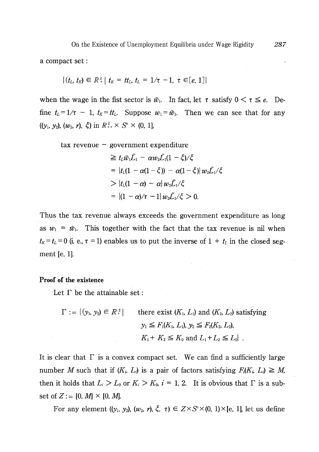a compact set :

$$
\{(t_L, t_K) \in R^2 + | t_K = tt_L, t_L = 1/\tau - 1, \tau \in [e, 1]\}
$$

when the wage in the fist sector is  $\tilde{w}_1$ . In fact, let  $\tau$  satisfy  $0 \le \tau \le e$ . Define  $t_L = 1/\tau - 1$ ,  $t_K = t_t$ . Suppose  $w_1 = \tilde{w}_1$ . Then we can see that for any  $((y_1, y_2), (w_2, r), \xi)$  in  $R_{++}^2 \times S^0 \times (0, 1]$ ,

 $\text{tax}$  revenue – government expenditure

$$
\geq t_L \tilde{w}_1 \tilde{L}_1 - \alpha w_2 \tilde{L}_1 (1 - \xi) / \xi
$$
  
= 
$$
\{t_L (1 - \alpha (1 - \xi)) - \alpha (1 - \xi)\} w_2 \tilde{L}_1 / \xi
$$
  
> 
$$
\{t_L (1 - \alpha) - \alpha \} w_2 \tilde{L}_1 / \xi
$$
  
= 
$$
\{(1 - \alpha) / \tau - 1\} w_2 \tilde{L}_1 / \xi > 0.
$$

Thus the tax revenue always exceeds the government expenditure as long as  $w_1 = \tilde{w}_1$ . This together with the fact that the tax revenue is nil when  $t_K = t_L = 0$  (i. e.,  $\tau = 1$ ) enables us to put the inverse of  $1 + t_L$  in the closed segment  $[e, 1]$ .

### Proof of the existence

Let  $\Gamma$  be the attainable set:

$$
\Gamma := \{ (y_1, y_2) \in R^2 \mid \text{there exist } (K_1, L_1) \text{ and } (K_2, L_2) \text{ satisfying}
$$

$$
y_1 \leq F_1(K_1, L_1), y_2 \leq F_2(K_2, L_2),
$$

$$
K_1 + K_2 \leq K_0 \text{ and } L_1 + L_2 \leq L_0 \}.
$$

It is clear that  $\Gamma$  is a convex compact set. We can find a sufficiently large number M such that if  $(K_i, L_i)$  is a pair of factors satisfying  $F_i(K_i, L_i) \geq M$ , then it holds that  $L_i > L_0$  or  $K_i > K_0$ ,  $i = 1, 2$ . It is obvious that  $\Gamma$  is a subset of  $Z := [0, M] \times [0, M]$ .

For any element  $((y_1, y_2), (w_2, r), \xi, \tau) \in Z \times S^{\circ} \times (0, 1) \times [e, 1]$ , let us define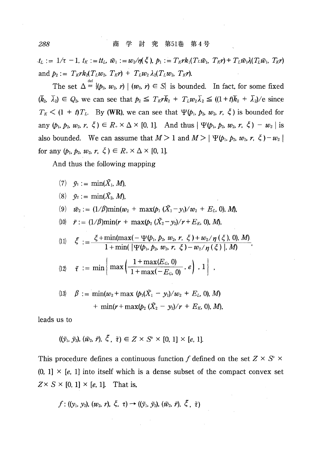$t_L:=1/\tau-1, t_K:=tt_L, \tilde{w}_1:=w_2/\eta(\xi), p_1:=T_K\tau k_1(T_L\tilde{w}_1, T_K\tau)+T_L\tilde{w}_1\lambda(T_L\tilde{w}_1, T_K\tau)$ and  $p_2:=T_Krk_2(T_Lw_2, T_Kr)+T_Lw_2\lambda_2(T_Lw_2, T_Kr).$ 

The set  $\Delta = \{(\mathbf{p}_2, \mathbf{w}_2, \mathbf{r}) | (\mathbf{w}_2, \mathbf{r}) \in S \}$  is bounded. In fact, for some fixed  $(\bar{k}_2, \bar{\lambda}_2) \in Q_2$ , we can see that  $p_2 \leq T_K r \bar{k}_2 + T_L w_2 \bar{\lambda}_2 \leq (1+t)\bar{k}_2 + \bar{\lambda}_2$ /e since  $T_K$  < (1 + t)T<sub>L</sub>. By (WR), we can see that  $\Psi(\mathbf{p}_1, \mathbf{p}_2, w_2, r, \xi)$  is bounded for any  $(p_1, p_2, w_2, r, \xi) \in R_+ \times \Delta \times [0, 1]$ . And thus  $|\Psi(p_1, p_2, w_2, r, \xi) - w_2|$  is also bounded. We can assume that  $M>1$  and  $M>|\Psi(\rho_1,\rho_2,w_2,\tau,\zeta)-w_2|$ for any  $(p_1, p_2, w_2, r, \zeta) \in R_+ \times \Delta \times [0, 1].$ 

And thus the following mapping

$$
(7) \quad \tilde{y}_1 := \min(\tilde{X}_1, M),
$$

$$
(8) \quad \tilde{y}_2 := \min(\tilde{X}_2, M),
$$

(9) 
$$
\tilde{w}_2 := (1/\beta) \min(w_2 + \max(p_1(\tilde{X}_1 - y_1)/w_2 + E_L, 0), M)
$$

(10) 
$$
\tilde{r} := (1/\beta) \min(r + \max(p_2 (\tilde{X}_2 - y_2)/r + E_K, 0), M)
$$
,

(1) 
$$
\xi := \frac{\xi + \min(\max(-\Psi(b_1, b_2, w_2, r, \xi) + w_2/\eta(\xi), 0), M)}{1 + \min(\Psi(b_1, b_2, w_2, r, \xi) - w_2/\eta(\xi), M)},
$$

$$
(12) \quad \tilde{\tau} \; := \; \min \left( \, \max \left( \frac{1 + \max(E_G, 0)}{1 + \max(-E_G, 0)} \, , \, e \right) \, , \, 1 \, \right) \; ,
$$

(13) 
$$
\beta := \min(w_2 + \max(\phi_1(\tilde{X}_1 - y_1)/w_2 + E_L, 0), M)
$$
  
  $+ \min(r + \max(\phi_2(\tilde{X}_2 - y_2)/r + E_K, 0), M),$ 

leads us to

$$
((\tilde{y}_1, \tilde{y}_2), (\tilde{w}_2, \tilde{r}), \xi, \tilde{\tau}) \in Z \times S^{\circ} \times [0, 1] \times [e, 1].
$$

This procedure defines a continuous function f defined on the set  $Z \times S^6$  $(0, 1] \times [e, 1]$  into itself which is a dense subset of the compact convex set  $Z \times S \times [0, 1] \times [e, 1]$ . That is,

$$
f: ((y_1, y_2), (w_2, r), \xi, \tau) \rightarrow ((\tilde{y}_1, \tilde{y}_2), (\tilde{w}_2, \tilde{r}), \xi, \tilde{\tau})
$$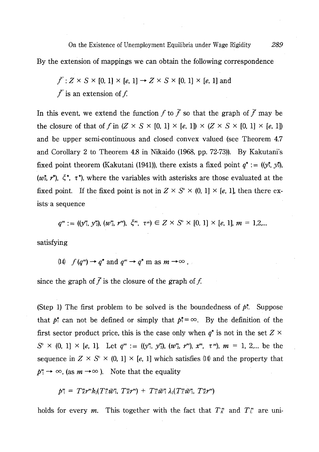On the Existence of Unemployment Equilibria under Wage Rigidity By the extension of mappings we can obtain the following correspondence

$$
\bar{f}: Z \times S \times [0, 1] \times [e, 1] \rightarrow Z \times S \times [0, 1] \times [e, 1]
$$
 and 
$$
\bar{f}
$$
 is an extension of  $f$ .

In this event, we extend the function f to  $\bar{f}$  so that the graph of  $\bar{f}$  may be the closure of that of f in  $(Z \times S \times [0, 1] \times [e, 1]) \times (Z \times S \times [0, 1] \times [e, 1])$ and be upper semi-continuous and closed convex valued (see Theorem 4.7) and Corollary 2 to Theorem 4.8 in Nikaido (1968, pp. 72-73)). By Kakutani's fixed point theorem (Kakutani (1941)), there exists a fixed point  $q^* := ((y_1^*, y_2^*),$  $(w_1^*, r^*)$ ,  $\xi^*, \tau^*$ ), where the variables with asterisks are those evaluated at the fixed point. If the fixed point is not in  $Z \times S^0 \times (0, 1] \times [e, 1]$ , then there exists a sequence

$$
q^m := ((y_1^m, y_2^m), (w_2^m, r^m), \xi^m, \tau^m) \in Z \times S^0 \times [0, 1] \times [e, 1], m = 1, 2, ...
$$

satisfying

(14)  $f(q^m) \rightarrow q^*$  and  $q^m \rightarrow q^*$  m as  $m \rightarrow \infty$ ,

since the graph of  $\bar{f}$  is the closure of the graph of f.

(Step 1) The first problem to be solved is the boundedness of  $p^*$ . Suppose that  $p_1^*$  can not be defined or simply that  $p_1^* = \infty$ . By the definition of the first sector product price, this is the case only when  $q^*$  is not in the set  $Z \times$  $S^{\circ} \times (0, 1] \times [e, 1]$ . Let  $q^m := ((y_1^m, y_2^m), (w_2^m, r^m), x^m, \tau^m), m = 1, 2,...$  be the sequence in  $Z \times S^{\circ} \times (0, 1] \times [e, 1]$  which satisfies (14) and the property that  $p_1^m \rightarrow \infty$ , (as  $m \rightarrow \infty$ ). Note that the equality

$$
p_1^m = T_K^m r^m k_1 (T_L^m \tilde{w}_1^m, T_K^m r^m) + T_L^m \tilde{w}_1^m \lambda_1 (T_L^m \tilde{w}_1^m, T_K^m r^m)
$$

holds for every *m*. This together with the fact that  $T_K^m$  and  $T_L^m$  are uni-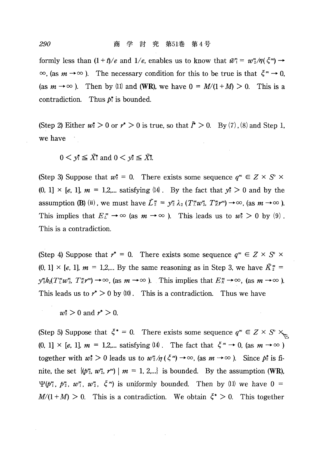formly less than  $(1 + t)/e$  and  $1/e$ , enables us to know that  $\tilde{w}_1^* = w_2^* / \eta(\xi^*) \rightarrow$  $\infty$ , (as  $m \to \infty$  ). The necessary condition for this to be true is that  $\xi^m \to 0$ . (as  $m \to \infty$ ). Then by (1) and (WR), we have  $0 = M/(1 + M) > 0$ . This is a contradiction. Thus  $p_i^*$  is bounded.

(Step 2) Either  $w^* > 0$  or  $r^* > 0$  is true, so that  $\tilde{\Gamma} > 0$ . By (7), (8) and Step 1. we have

 $0 \leq v_1^* \leq \tilde{X}^*$  and  $0 \leq v_2^* \leq \tilde{X}^*$ .

(Step 3) Suppose that  $w_2^* = 0$ . There exists some sequence  $q^m \in Z \times S^0$  $(0, 1] \times [e, 1]$ ,  $m = 1, 2,...$  satisfying  $(14)$ . By the fact that  $y_2^* > 0$  and by the assumption (B) (ii), we must have  $\tilde{L}_2^m = v_2^m \lambda_2 (T_L^m w_2^m, T_R^m r^m) \rightarrow \infty$ , (as  $m \rightarrow \infty$ ). This implies that  $E_L^m \to \infty$  (as  $m \to \infty$  ). This leads us to  $w_2^* > 0$  by (9). This is a contradiction.

(Step 4) Suppose that  $r^* = 0$ . There exists some sequence  $q^m \in Z \times S^0 \times$  $(0, 1] \times [e, 1]$ ,  $m = 1, 2,...$  By the same reasoning as in Step 3, we have  $\tilde{K}_2^m =$  $y_{2}^{m}k_{2}(T_{L}^{m}w_{2}^{m}, T_{K}^{m}r^{m}) \rightarrow \infty$ , (as  $m \rightarrow \infty$  ). This implies that  $E_{K}^{m} \rightarrow \infty$ , (as  $m \rightarrow \infty$  ). This leads us to  $r^* > 0$  by (10). This is a contradiction. Thus we have

 $w_2^* > 0$  and  $r^* > 0$ .

(Step 5) Suppose that  $\xi^* = 0$ . There exists some sequence  $q^m \in Z \times S^0 \times_{\xi_m}$  $(0, 1] \times [e, 1], m = 1,2,...$  satisfying  $(14)$ . The fact that  $\xi^m \to 0$ , (as  $m \to \infty$ ) together with  $w_z^* > 0$  leads us to  $w_z^* / \eta(\zeta^* \to \infty)$ , (as  $m \to \infty$ ). Since  $p_z^*$  is finite, the set  $\{(p_2^m, w_2^m, r^m) \mid m = 1, 2,...\}$  is bounded. By the assumption (WR),  $\Psi(b_1^m, b_2^m, w_1^m, w_2^m, \zeta^m)$  is uniformly bounded. Then by (1) we have  $0 =$  $M/(1+M) > 0$ . This is a contradiction. We obtain  $\xi^* > 0$ . This together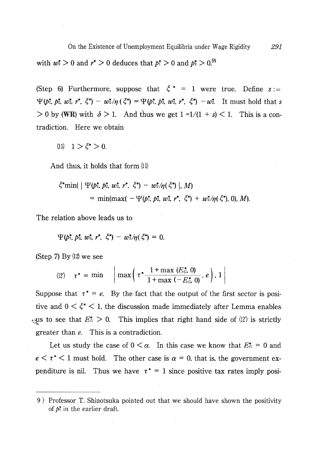with  $w^*$  > 0 and  $r^*$  > 0 deduces that  $p^*$  > 0 and  $p^*$  > 0.<sup>9)</sup>

(Step 6) Furthermore, suppose that  $\xi^* = 1$  were true. Define  $s :=$  $\Psi(b_1^*, b_2^*, w_2^*, r^*, \zeta^*) - w_2^*/\eta(\zeta^*) = \Psi(b_1^*, b_2^*, w_2^*, r^*, \zeta^*) - w_2^*$ . It must hold that s  $> 0$  by (WR) with  $\delta > 1$ . And thus we get  $1 = 1/(1 + s) < 1$ . This is a contradiction. Here we obtain

(15)  $1 > \xi^* > 0$ .

And thus, it holds that form (11)

$$
\begin{aligned} \xi^* \min( \mid \Psi(p_1^*, p_2^*, w_2^*, r^*, \xi^*) - w_2^*/\eta(\xi^*) \mid M) \\ &= \min(\max( -\Psi(p_1^*, p_2^*, w_2^*, r^*, \xi^*) + w_2^*/\eta(\xi^*) \mid 0), M) \end{aligned}
$$

The relation above leads us to

$$
\Psi(\phi_1^*,\, \phi_2^*,\, w_2^*,\, r^*,\, \xi^*) - w_2^*/\eta(\xi^*) = 0.
$$

(Step  $7$ ) By  $(12)$  we see

$$
\text{(12)} \quad \tau^* = \min \quad \left| \max \left( \tau^* \frac{1 + \max \left( E_{\mathcal{C}}^*, 0 \right)}{1 + \max \left( -E_{\mathcal{C}}^*, 0 \right)}, e \right), 1 \right|
$$

Suppose that  $\tau^* = e$ . By the fact that the output of the first sector is positive and  $0 \lt \zeta^* \lt 1$ , the discussion made immediately after Lemma enables ally to see that  $E^* > 0$ . This implies that right hand side of (12) is strictly greater than  $e$ . This is a contradiction.

Let us study the case of  $0 \le \alpha$ . In this case we know that  $E_c^* = 0$  and  $e \leq \tau^*$  1 must hold. The other case is  $\alpha = 0$ , that is, the government expenditure is nil. Thus we have  $\tau^* = 1$  since positive tax rates imply posi-

<sup>9)</sup> Professor T. Shinotsuka pointed out that we should have shown the positivity of  $p^*$  in the earlier draft.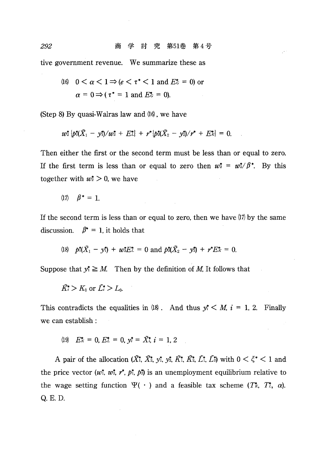tive government revenue. We summarize these as

(16) 
$$
0 < \alpha < 1 \Rightarrow (e < \tau^* < 1 \text{ and } E^* = 0)
$$
 or  $\alpha = 0 \Rightarrow (\tau^* = 1 \text{ and } E^* = 0)$ .

(Step 8) By quasi-Walras law and  $(16)$ , we have

$$
w_2^* \left\{ p_1^* (\tilde{X}_1 - y_1^*) / w_2^* + E_L^* \right\} + r^* \left\{ p_2^* (\tilde{X}_2 - y_2^*) / r^* + E_R^* \right\} = 0.
$$

Then either the first or the second term must be less than or equal to zero. If the first term is less than or equal to zero then  $w_2^* = w_2^*/\beta^*$ . By this together with  $w_2^* > 0$ , we have

$$
(17) \quad \beta^* = 1.
$$

If the second term is less than or equal to zero, then we have  $(17)$  by the same discussion.  $\beta^* = 1$ , it holds that

(18) 
$$
p^* (\tilde{X}_1 - y_1^*) + w^* E_L^* = 0
$$
 and  $p^* (\tilde{X}_2 - y_2^*) + r^* E_R^* = 0$ .

Suppose that  $y^* \geq M$ . Then by the definition of M, It follows that

$$
\tilde{K}_i > K_0 \text{ or } \tilde{L}_i > L_0.
$$

This contradicts the equalities in  $(18)$ . And thus  $y_i^* \leq M$ ,  $i = 1, 2$ . Finally we can establish :

$$
(19) \quad E_K^* = 0, \, E_L^* = 0, \, y_i^* = \tilde{X}_i^*, \, i = 1, \, 2
$$

A pair of the allocation  $(\tilde{X}_1^*, \tilde{X}_2^*, y_1^*, y_2^*, \tilde{K}_1^*, \tilde{K}_2^*, \tilde{L}_1^*, \tilde{L}_2^*)$  with  $0 \leq \xi^* \leq 1$  and the price vector  $(w_1^*, w_2^*, r^*, p_1^*, p_2^*)$  is an unemployment equilibrium relative to the wage setting function  $\Psi(\cdot)$  and a feasible tax scheme  $(T^*, T^*, \alpha)$ . Q. E. D.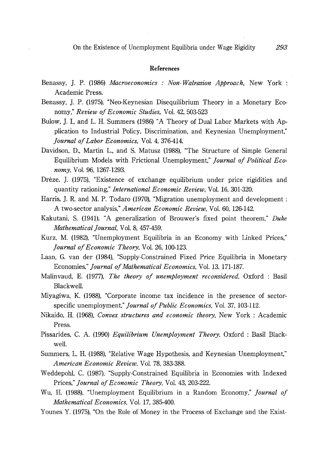### References

- Benassy, J. P. (1986) Macroeconomics : Non-Walrasion Approach. New York : Academic Press.
- Benassy, J. P. (1975), "Neo-Keynesian Disequilibrium Theory in a Monetary Economy," Review of Economic Studies, Vol. 42, 503-523
- Bulow, J. I., and L. H. Summers (1986) "A Theory of Dual Labor Markets with Application to Industrial Policy, Discrimination, and Keynesian Unemployment," Journal of Labor Economics, Vol. 4, 376-414.
- Davidson, D., Martin L., and S. Matusz (1988), "The Structure of Simple General Equilibrium Models with Frictional Unemployment," Journal of Political Economy, Vol. 96, 1267-1293.
- Drèze, J. (1975), "Existence of exchange equilibrium under price rigidities and quantity rationing," *International Economic Review*, Vol. 16, 301-320.
- Harris, J. R. and M. P. Todaro (1970), "Migration unemployment and development : A two-sector analysis," American Economic Review, Vol. 60, 126-142.
- Kakutani, S. (1941), "A generalization of Brouwer's fixed point theorem," Duke Mathematical Journal, Vol. 8, 457-459.
- Kurz, M. (1982), "Unemployment Equilibria in an Economy with Linked Prices," Journal of Economic Theory, Vol. 26, 100-123.
- Laan, G. van der (1984), "Supply-Constrained Fixed Price Equilibria in Monetary Economies," Journal of Mathematical Economics, Vol. 13, 171-187.
- Malinvaud, E. (1977), The theory of unemployment reconsidered, Oxford: Basil Blackwell.
- Miyagiwa, K. (1988), "Corporate income tax incidence in the presence of sectorspecific unemployment," Journal of Public Economics, Vol. 37, 103-112.
- Nikaido, H. (1968), Convex structures and economic theory, New York: Academic Press.
- Pissarides, C. A. (1990) Equilibrium Unemployment Theory, Oxford : Basil Blackwell.
- Summers, L. H. (1988), "Relative Wage Hypothesis, and Keynesian Unemployment," American Economic Review, Vol. 78, 383-388.
- Weddepohl, C. (1987), "Supply-Constrained Equilibria in Economies with Indexed Prices," Journal of Economic Theory, Vol. 43, 203-222.
- Wu, H. (1988), "Unemployment Equilibrium in a Random Economy," Journal of Mathematical Economics, Vol. 17, 385-400.
- Younes Y. (1975), "On the Role of Money in the Process of Exchange and the Exist-